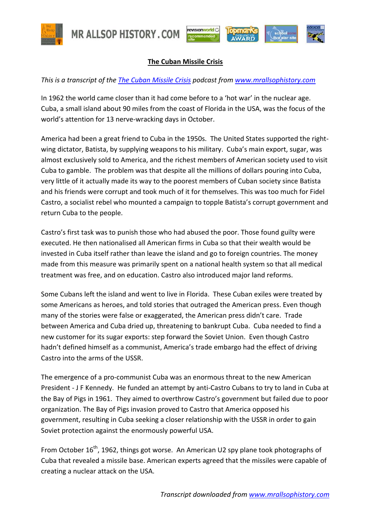

**MR ALLSOP HISTORY.COM** 



## **The Cuban Missile Crisis**

## *This is a transcript of the [The Cuban Missile Crisis](http://www.mrallsophistory.com/revision/the-cuban-missile-crisis.html) podcast from [www.mrallsophistory.com](http://www.mrallsophistory.com/)*

In 1962 the world came closer than it had come before to a 'hot war' in the nuclear age. Cuba, a small island about 90 miles from the coast of Florida in the USA, was the focus of the world's attention for 13 nerve-wracking days in October.

America had been a great friend to Cuba in the 1950s. The United States supported the rightwing dictator, Batista, by supplying weapons to his military. Cuba's main export, sugar, was almost exclusively sold to America, and the richest members of American society used to visit Cuba to gamble. The problem was that despite all the millions of dollars pouring into Cuba, very little of it actually made its way to the poorest members of Cuban society since Batista and his friends were corrupt and took much of it for themselves. This was too much for Fidel Castro, a socialist rebel who mounted a campaign to topple Batista's corrupt government and return Cuba to the people.

Castro's first task was to punish those who had abused the poor. Those found guilty were executed. He then nationalised all American firms in Cuba so that their wealth would be invested in Cuba itself rather than leave the island and go to foreign countries. The money made from this measure was primarily spent on a national health system so that all medical treatment was free, and on education. Castro also introduced major land reforms.

Some Cubans left the island and went to live in Florida. These Cuban exiles were treated by some Americans as heroes, and told stories that outraged the American press. Even though many of the stories were false or exaggerated, the American press didn't care. Trade between America and Cuba dried up, threatening to bankrupt Cuba. Cuba needed to find a new customer for its sugar exports: step forward the Soviet Union. Even though Castro hadn't defined himself as a communist, America's trade embargo had the effect of driving Castro into the arms of the USSR.

The emergence of a pro-communist Cuba was an enormous threat to the new American President - J F Kennedy. He funded an attempt by anti-Castro Cubans to try to land in Cuba at the Bay of Pigs in 1961. They aimed to overthrow Castro's government but failed due to poor organization. The Bay of Pigs invasion proved to Castro that America opposed his government, resulting in Cuba seeking a closer relationship with the USSR in order to gain Soviet protection against the enormously powerful USA.

From October 16<sup>th</sup>, 1962, things got worse. An American U2 spy plane took photographs of Cuba that revealed a missile base. American experts agreed that the missiles were capable of creating a nuclear attack on the USA.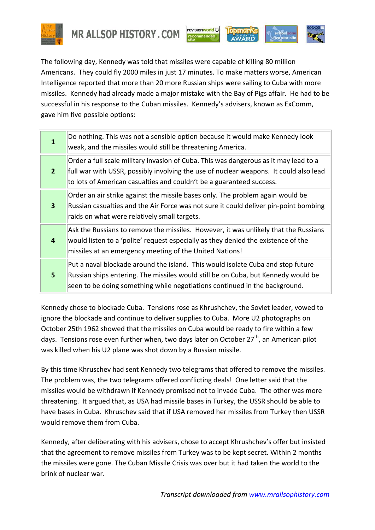

**MR ALLSOP HISTORY, COM** 





The following day, Kennedy was told that missiles were capable of killing 80 million Americans. They could fly 2000 miles in just 17 minutes. To make matters worse, American Intelligence reported that more than 20 more Russian ships were sailing to Cuba with more missiles. Kennedy had already made a major mistake with the Bay of Pigs affair. He had to be successful in his response to the Cuban missiles. Kennedy's advisers, known as ExComm, gave him five possible options:

| $\mathbf{1}$            | Do nothing. This was not a sensible option because it would make Kennedy look<br>weak, and the missiles would still be threatening America.                                                                                                           |
|-------------------------|-------------------------------------------------------------------------------------------------------------------------------------------------------------------------------------------------------------------------------------------------------|
| 2 <sup>2</sup>          | Order a full scale military invasion of Cuba. This was dangerous as it may lead to a<br>full war with USSR, possibly involving the use of nuclear weapons. It could also lead<br>to lots of American casualties and couldn't be a guaranteed success. |
| $\overline{\mathbf{3}}$ | Order an air strike against the missile bases only. The problem again would be<br>Russian casualties and the Air Force was not sure it could deliver pin-point bombing<br>raids on what were relatively small targets.                                |
| 4                       | Ask the Russians to remove the missiles. However, it was unlikely that the Russians<br>would listen to a 'polite' request especially as they denied the existence of the<br>missiles at an emergency meeting of the United Nations!                   |
| 5                       | Put a naval blockade around the island. This would isolate Cuba and stop future<br>Russian ships entering. The missiles would still be on Cuba, but Kennedy would be<br>seen to be doing something while negotiations continued in the background.    |

Kennedy chose to blockade Cuba. Tensions rose as Khrushchev, the Soviet leader, vowed to ignore the blockade and continue to deliver supplies to Cuba. More U2 photographs on October 25th 1962 showed that the missiles on Cuba would be ready to fire within a few days. Tensions rose even further when, two days later on October 27<sup>th</sup>, an American pilot was killed when his U2 plane was shot down by a Russian missile.

By this time Khruschev had sent Kennedy two telegrams that offered to remove the missiles. The problem was, the two telegrams offered conflicting deals! One letter said that the missiles would be withdrawn if Kennedy promised not to invade Cuba. The other was more threatening. It argued that, as USA had missile bases in Turkey, the USSR should be able to have bases in Cuba. Khruschev said that if USA removed her missiles from Turkey then USSR would remove them from Cuba.

Kennedy, after deliberating with his advisers, chose to accept Khrushchev's offer but insisted that the agreement to remove missiles from Turkey was to be kept secret. Within 2 months the missiles were gone. The Cuban Missile Crisis was over but it had taken the world to the brink of nuclear war.